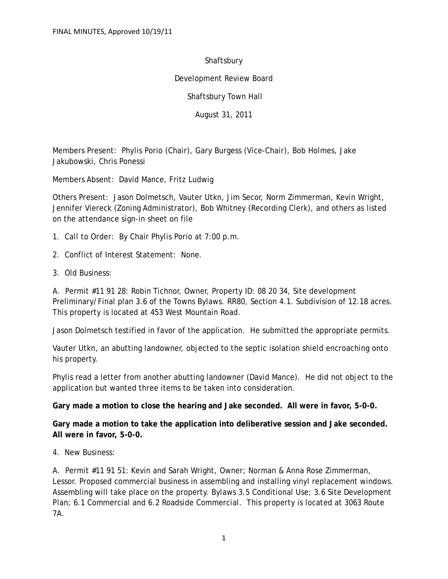Shaftsbury

Development Review Board

Shaftsbury Town Hall

August 31, 2011

Members Present: Phylis Porio (Chair), Gary Burgess (Vice-Chair), Bob Holmes, Jake Jakubowski, Chris Ponessi

Members Absent: David Mance, Fritz Ludwig

Others Present: Jason Dolmetsch, Vauter Utkn, Jim Secor, Norm Zimmerman, Kevin Wright, Jennifer Viereck (Zoning Administrator), Bob Whitney (Recording Clerk), and others as listed on the attendance sign-in sheet on file

- 1. Call to Order: By Chair Phylis Porio at 7:00 p.m.
- 2. Conflict of Interest Statement: None.
- 3. Old Business:

A. Permit #11 91 28: Robin Tichnor, Owner, Property ID: 08 20 34, Site development Preliminary/Final plan 3.6 of the Towns Bylaws. RR80, Section 4.1. Subdivision of 12.18 acres. This property is located at 453 West Mountain Road.

Jason Dolmetsch testified in favor of the application. He submitted the appropriate permits.

Vauter Utkn, an abutting landowner, objected to the septic isolation shield encroaching onto his property.

Phylis read a letter from another abutting landowner (David Mance). He did not object to the application but wanted three items to be taken into consideration.

**Gary made a motion to close the hearing and Jake seconded. All were in favor, 5-0-0.**

**Gary made a motion to take the application into deliberative session and Jake seconded. All were in favor, 5-0-0.**

4. New Business:

A. Permit #11 91 51: Kevin and Sarah Wright, Owner; Norman & Anna Rose Zimmerman, Lessor. Proposed commercial business in assembling and installing vinyl replacement windows. Assembling will take place on the property. Bylaws 3.5 Conditional Use; 3.6 Site Development Plan; 6.1 Commercial and 6.2 Roadside Commercial. This property is located at 3063 Route 7A.